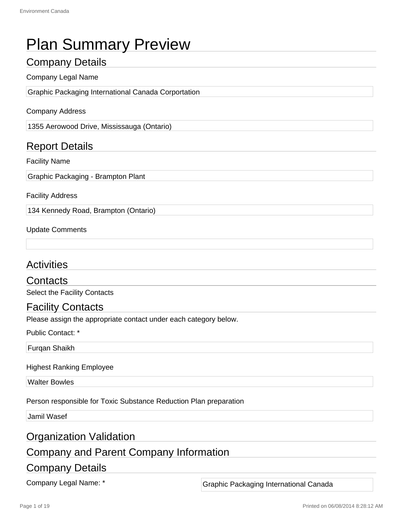# Plan Summary Preview

## Company Details

#### Company Legal Name

Graphic Packaging International Canada Corportation

#### Company Address

1355 Aerowood Drive, Mississauga (Ontario)

## Report Details

#### Facility Name

Graphic Packaging - Brampton Plant

#### Facility Address

134 Kennedy Road, Brampton (Ontario)

#### Update Comments

## **Activities**

#### Contacts

Select the Facility Contacts

### Facility Contacts

Please assign the appropriate contact under each category below.

Public Contact: \*

Furqan Shaikh

#### Highest Ranking Employee

Walter Bowles

Person responsible for Toxic Substance Reduction Plan preparation

Jamil Wasef

### Organization Validation

## Company and Parent Company Information

### Company Details

Company Legal Name: \* The Company Legal Name: \* Graphic Packaging International Canada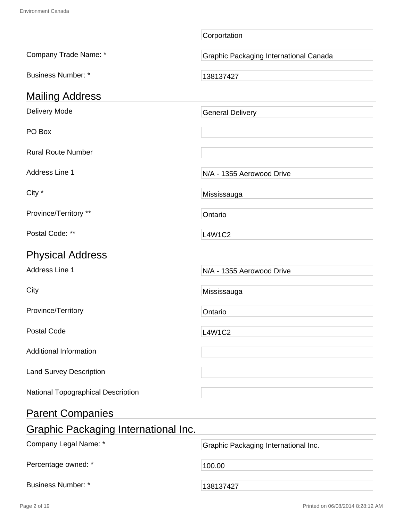|                                             | Corportation                           |
|---------------------------------------------|----------------------------------------|
| Company Trade Name: *                       | Graphic Packaging International Canada |
| <b>Business Number: *</b>                   | 138137427                              |
| <b>Mailing Address</b>                      |                                        |
| Delivery Mode                               | <b>General Delivery</b>                |
| PO Box                                      |                                        |
| <b>Rural Route Number</b>                   |                                        |
| Address Line 1                              | N/A - 1355 Aerowood Drive              |
| City *                                      | Mississauga                            |
| Province/Territory **                       | Ontario                                |
| Postal Code: **                             | <b>L4W1C2</b>                          |
| <b>Physical Address</b>                     |                                        |
| Address Line 1                              | N/A - 1355 Aerowood Drive              |
| City                                        | Mississauga                            |
| Province/Territory                          | Ontario                                |
| <b>Postal Code</b>                          | <b>L4W1C2</b>                          |
| <b>Additional Information</b>               |                                        |
| <b>Land Survey Description</b>              |                                        |
| National Topographical Description          |                                        |
| <b>Parent Companies</b>                     |                                        |
| <b>Graphic Packaging International Inc.</b> |                                        |
| Company Legal Name: *                       | Graphic Packaging International Inc.   |
| Percentage owned: *                         | 100.00                                 |
| <b>Business Number: *</b>                   | 138137427                              |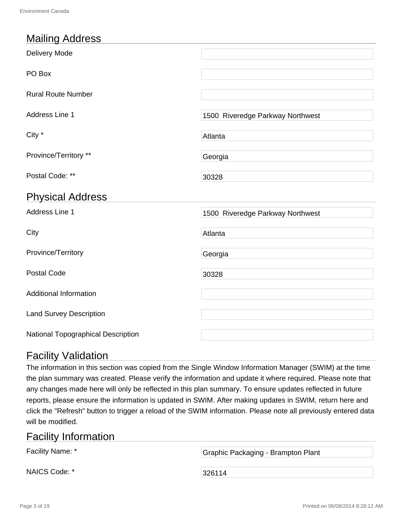## Mailing Address

| Delivery Mode                  |                                  |
|--------------------------------|----------------------------------|
| PO Box                         |                                  |
| <b>Rural Route Number</b>      |                                  |
| Address Line 1                 | 1500 Riveredge Parkway Northwest |
| City *                         | Atlanta                          |
| Province/Territory **          | Georgia                          |
| Postal Code: **                | 30328                            |
|                                |                                  |
| <b>Physical Address</b>        |                                  |
| <b>Address Line 1</b>          | 1500 Riveredge Parkway Northwest |
| City                           | Atlanta                          |
| Province/Territory             | Georgia                          |
| <b>Postal Code</b>             | 30328                            |
| <b>Additional Information</b>  |                                  |
| <b>Land Survey Description</b> |                                  |

## Facility Validation

The information in this section was copied from the Single Window Information Manager (SWIM) at the time the plan summary was created. Please verify the information and update it where required. Please note that any changes made here will only be reflected in this plan summary. To ensure updates reflected in future reports, please ensure the information is updated in SWIM. After making updates in SWIM, return here and click the "Refresh" button to trigger a reload of the SWIM information. Please note all previously entered data will be modified.

## Facility Information

| Facility Name: * | Graphic Packaging - Brampton Plant |
|------------------|------------------------------------|
| NAICS Code: *    | ∃326114                            |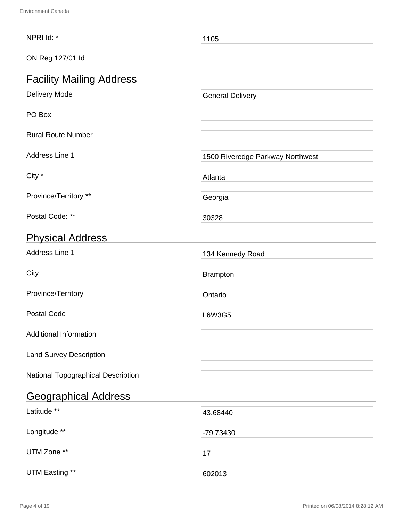| NPRI Id: *                         | 1105                             |
|------------------------------------|----------------------------------|
| ON Reg 127/01 ld                   |                                  |
| <b>Facility Mailing Address</b>    |                                  |
| Delivery Mode                      | <b>General Delivery</b>          |
| PO Box                             |                                  |
| <b>Rural Route Number</b>          |                                  |
| Address Line 1                     | 1500 Riveredge Parkway Northwest |
| City *                             | Atlanta                          |
| Province/Territory **              | Georgia                          |
| Postal Code: **                    | 30328                            |
| <b>Physical Address</b>            |                                  |
| Address Line 1                     | 134 Kennedy Road                 |
| City                               | <b>Brampton</b>                  |
| Province/Territory                 | Ontario                          |
| <b>Postal Code</b>                 | L6W3G5                           |
| <b>Additional Information</b>      |                                  |
| <b>Land Survey Description</b>     |                                  |
| National Topographical Description |                                  |
| <b>Geographical Address</b>        |                                  |
| Latitude **                        | 43.68440                         |
| Longitude **                       | -79.73430                        |
| UTM Zone **                        | 17                               |
| UTM Easting **                     | 602013                           |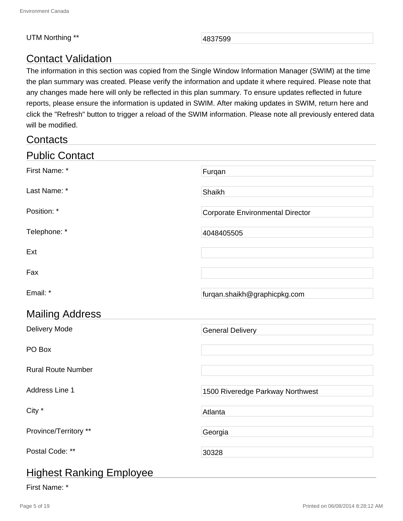#### UTM Northing \*\* 4837599

## Contact Validation

The information in this section was copied from the Single Window Information Manager (SWIM) at the time the plan summary was created. Please verify the information and update it where required. Please note that any changes made here will only be reflected in this plan summary. To ensure updates reflected in future reports, please ensure the information is updated in SWIM. After making updates in SWIM, return here and click the "Refresh" button to trigger a reload of the SWIM information. Please note all previously entered data will be modified.

| Contacts                  |                                         |
|---------------------------|-----------------------------------------|
| <b>Public Contact</b>     |                                         |
| First Name: *             | Furqan                                  |
| Last Name: *              | Shaikh                                  |
| Position: *               | <b>Corporate Environmental Director</b> |
| Telephone: *              | 4048405505                              |
| Ext                       |                                         |
| Fax                       |                                         |
| Email: *                  | furqan.shaikh@graphicpkg.com            |
| <b>Mailing Address</b>    |                                         |
| <b>Delivery Mode</b>      | <b>General Delivery</b>                 |
| PO Box                    |                                         |
| <b>Rural Route Number</b> |                                         |
| Address Line 1            | 1500 Riveredge Parkway Northwest        |
| City *                    | Atlanta                                 |
| Province/Territory **     | Georgia                                 |
| Postal Code: **           | 30328                                   |
| Higheot Donking Employee  |                                         |

## Highest Ranking Employee

#### First Name: \*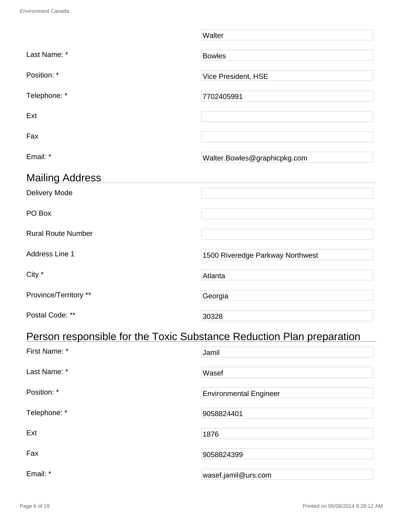|                                                                       | Walter                           |
|-----------------------------------------------------------------------|----------------------------------|
| Last Name: *                                                          | <b>Bowles</b>                    |
| Position: *                                                           | Vice President, HSE              |
| Telephone: *                                                          | 7702405991                       |
| Ext                                                                   |                                  |
| Fax                                                                   |                                  |
| Email: *                                                              | Walter.Bowles@graphicpkg.com     |
| <b>Mailing Address</b>                                                |                                  |
| <b>Delivery Mode</b>                                                  |                                  |
| PO Box                                                                |                                  |
| <b>Rural Route Number</b>                                             |                                  |
| Address Line 1                                                        | 1500 Riveredge Parkway Northwest |
| City *                                                                | Atlanta                          |
| Province/Territory **                                                 | Georgia                          |
| Postal Code: **                                                       | 30328                            |
| Person responsible for the Toxic Substance Reduction Plan preparation |                                  |
| First Name: *                                                         | Jamil                            |
| Last Name: *                                                          | Wasef                            |
| Position: *                                                           | <b>Environmental Engineer</b>    |
| Telephone: *                                                          | 9058824401                       |

Ext and the contract of the contract of the contract of the contract of the contract of the contract of the contract of the contract of the contract of the contract of the contract of the contract of the contract of the co Fax 9058824399 Email: \* wasef.jamil@urs.com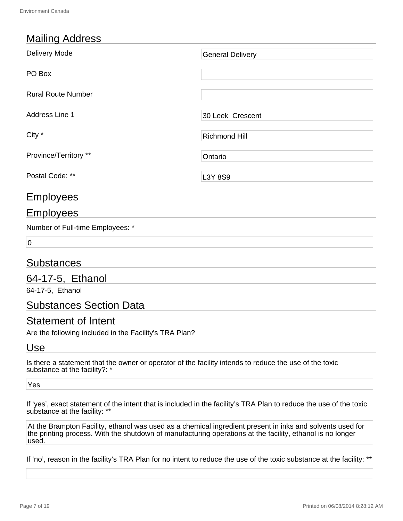## Mailing Address

| Delivery Mode             | <b>General Delivery</b> |
|---------------------------|-------------------------|
| PO Box                    |                         |
| <b>Rural Route Number</b> |                         |
| Address Line 1            | 30 Leek Crescent        |
| City *                    | <b>Richmond Hill</b>    |
| Province/Territory **     | Ontario                 |
| Postal Code: **           | L3Y 8S9                 |

## **Employees**

## Employees

Number of Full-time Employees: \*

 $\overline{0}$ 

## Substances

## 64-17-5, Ethanol

64-17-5, Ethanol

### Substances Section Data

## Statement of Intent

Are the following included in the Facility's TRA Plan?

### Use

Is there a statement that the owner or operator of the facility intends to reduce the use of the toxic substance at the facility?: \*

Yes

If 'yes', exact statement of the intent that is included in the facility's TRA Plan to reduce the use of the toxic substance at the facility: \*\*

At the Brampton Facility, ethanol was used as a chemical ingredient present in inks and solvents used for the printing process. With the shutdown of manufacturing operations at the facility, ethanol is no longer used.

If 'no', reason in the facility's TRA Plan for no intent to reduce the use of the toxic substance at the facility: \*\*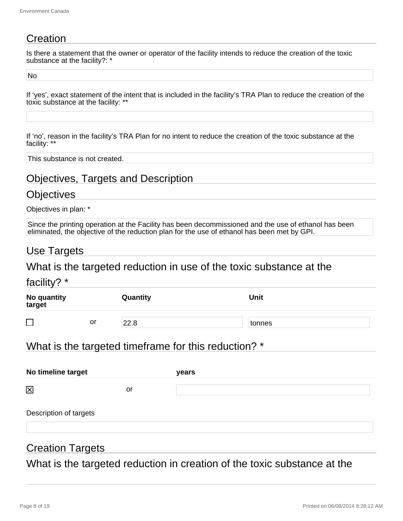## **Creation**

Is there a statement that the owner or operator of the facility intends to reduce the creation of the toxic substance at the facility?: \*

No

If 'yes', exact statement of the intent that is included in the facility's TRA Plan to reduce the creation of the toxic substance at the facility: \*\*

If 'no', reason in the facility's TRA Plan for no intent to reduce the creation of the toxic substance at the facility: \*\*

This substance is not created.

## Objectives, Targets and Description

### **Objectives**

Objectives in plan: \*

Since the printing operation at the Facility has been decommissioned and the use of ethanol has been eliminated, the objective of the reduction plan for the use of ethanol has been met by GPI.

### Use Targets

What is the targeted reduction in use of the toxic substance at the

| facility? $*$         |    |          |             |  |
|-----------------------|----|----------|-------------|--|
| No quantity<br>target |    | Quantity | <b>Unit</b> |  |
| $\Box$                | or | 22.8     | tonnes      |  |

## What is the targeted timeframe for this reduction? \*

| No timeline target     |    | years |
|------------------------|----|-------|
| 区                      | or |       |
| Description of targets |    |       |

## Creation Targets

What is the targeted reduction in creation of the toxic substance at the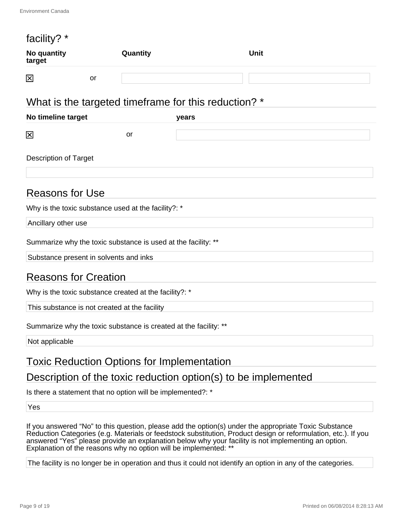| facility? *                  |                                                                  |                                                      |
|------------------------------|------------------------------------------------------------------|------------------------------------------------------|
| No quantity<br>target        | Quantity                                                         | <b>Unit</b>                                          |
| 図                            | or                                                               |                                                      |
|                              |                                                                  | What is the targeted timeframe for this reduction? * |
| No timeline target           |                                                                  | years                                                |
| 区                            | or                                                               |                                                      |
| <b>Description of Target</b> |                                                                  |                                                      |
| <b>Reasons for Use</b>       |                                                                  |                                                      |
|                              | Why is the toxic substance used at the facility?: *              |                                                      |
| Ancillary other use          |                                                                  |                                                      |
|                              | Summarize why the toxic substance is used at the facility: **    |                                                      |
|                              | Substance present in solvents and inks                           |                                                      |
| <b>Reasons for Creation</b>  |                                                                  |                                                      |
|                              | Why is the toxic substance created at the facility?: *           |                                                      |
|                              | This substance is not created at the facility                    |                                                      |
|                              | Summarize why the toxic substance is created at the facility: ** |                                                      |
| Not applicable               |                                                                  |                                                      |

## Toxic Reduction Options for Implementation

## Description of the toxic reduction option(s) to be implemented

Is there a statement that no option will be implemented?: \*

Yes

If you answered "No" to this question, please add the option(s) under the appropriate Toxic Substance Reduction Categories (e.g. Materials or feedstock substitution, Product design or reformulation, etc.). If you answered "Yes" please provide an explanation below why your facility is not implementing an option. Explanation of the reasons why no option will be implemented: \*\*

The facility is no longer be in operation and thus it could not identify an option in any of the categories.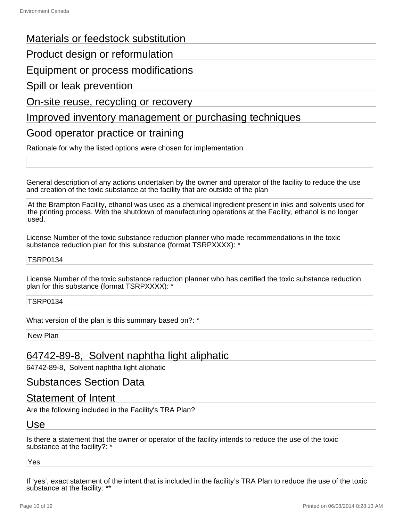### Materials or feedstock substitution

Product design or reformulation

Equipment or process modifications

Spill or leak prevention

On-site reuse, recycling or recovery

### Improved inventory management or purchasing techniques

Good operator practice or training

Rationale for why the listed options were chosen for implementation

General description of any actions undertaken by the owner and operator of the facility to reduce the use and creation of the toxic substance at the facility that are outside of the plan

At the Brampton Facility, ethanol was used as a chemical ingredient present in inks and solvents used for the printing process. With the shutdown of manufacturing operations at the Facility, ethanol is no longer used.

License Number of the toxic substance reduction planner who made recommendations in the toxic substance reduction plan for this substance (format TSRPXXXX): \*

#### TSRP0134

License Number of the toxic substance reduction planner who has certified the toxic substance reduction plan for this substance (format TSRPXXXX): \*

TSRP0134

What version of the plan is this summary based on?: \*

New Plan

## 64742-89-8, Solvent naphtha light aliphatic

64742-89-8, Solvent naphtha light aliphatic

### Substances Section Data

### Statement of Intent

Are the following included in the Facility's TRA Plan?

#### Use

Is there a statement that the owner or operator of the facility intends to reduce the use of the toxic substance at the facility?: \*

Yes

If 'yes', exact statement of the intent that is included in the facility's TRA Plan to reduce the use of the toxic substance at the facility: \*\*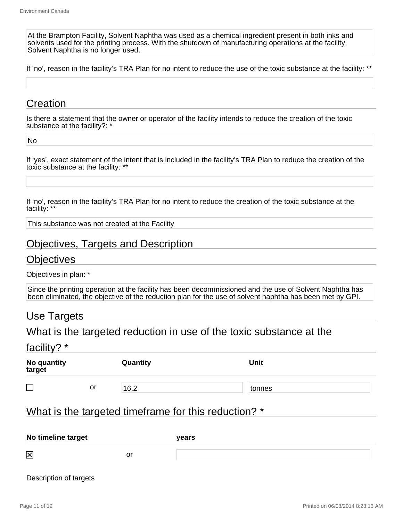At the Brampton Facility, Solvent Naphtha was used as a chemical ingredient present in both inks and solvents used for the printing process. With the shutdown of manufacturing operations at the facility, Solvent Naphtha is no longer used.

If 'no', reason in the facility's TRA Plan for no intent to reduce the use of the toxic substance at the facility: \*\*

## **Creation**

Is there a statement that the owner or operator of the facility intends to reduce the creation of the toxic substance at the facility?: \*

No

If 'yes', exact statement of the intent that is included in the facility's TRA Plan to reduce the creation of the toxic substance at the facility: \*\*

If 'no', reason in the facility's TRA Plan for no intent to reduce the creation of the toxic substance at the facility: \*\*

This substance was not created at the Facility

### Objectives, Targets and Description

#### **Objectives**

Objectives in plan: \*

Since the printing operation at the facility has been decommissioned and the use of Solvent Naphtha has been eliminated, the objective of the reduction plan for the use of solvent naphtha has been met by GPI.

### Use Targets

### What is the targeted reduction in use of the toxic substance at the

facility? \*

| No quantity<br>target |    | Quantity | <b>Unit</b> |  |
|-----------------------|----|----------|-------------|--|
| ш<br>$\sim$           | or | 16.2     | tonnes      |  |

### What is the targeted timeframe for this reduction? \*

| No timeline target |    | years |
|--------------------|----|-------|
| 区                  | or |       |

Description of targets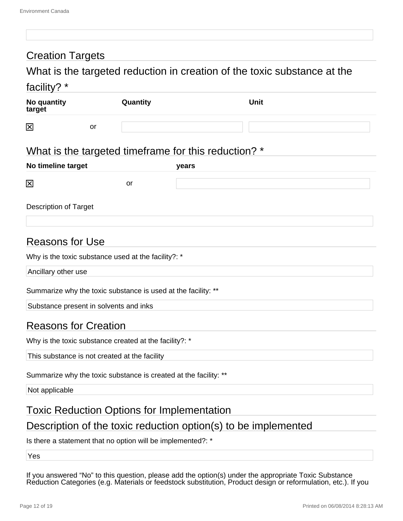## Creation Targets

## What is the targeted reduction in creation of the toxic substance at the facility? \*

| .                     |    |          |             |
|-----------------------|----|----------|-------------|
| No quantity<br>target |    | Quantity | <b>Unit</b> |
| 区                     | or |          |             |

## What is the targeted timeframe for this reduction? \*

| No timeline target |    | <b>vears</b> |  |  |
|--------------------|----|--------------|--|--|
| $\boxtimes$        | or |              |  |  |

Description of Target

## Reasons for Use

|  |  | Why is the toxic substance used at the facility?: * |  |  |  |
|--|--|-----------------------------------------------------|--|--|--|
|  |  |                                                     |  |  |  |
|  |  |                                                     |  |  |  |

Ancillary other use

Summarize why the toxic substance is used at the facility: \*\*

Substance present in solvents and inks

## Reasons for Creation

Why is the toxic substance created at the facility?: \*

This substance is not created at the facility

Summarize why the toxic substance is created at the facility: \*\*

Not applicable

## Toxic Reduction Options for Implementation

## Description of the toxic reduction option(s) to be implemented

Is there a statement that no option will be implemented?: \*

Yes

If you answered "No" to this question, please add the option(s) under the appropriate Toxic Substance Reduction Categories (e.g. Materials or feedstock substitution, Product design or reformulation, etc.). If you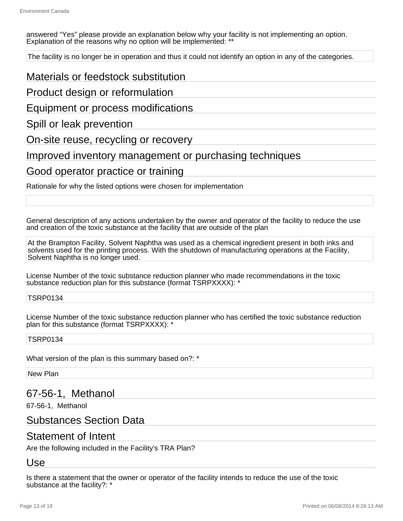answered "Yes" please provide an explanation below why your facility is not implementing an option. Explanation of the reasons why no option will be implemented: '

The facility is no longer be in operation and thus it could not identify an option in any of the categories.

### Materials or feedstock substitution

Product design or reformulation

Equipment or process modifications

Spill or leak prevention

On-site reuse, recycling or recovery

Improved inventory management or purchasing techniques

### Good operator practice or training

Rationale for why the listed options were chosen for implementation

General description of any actions undertaken by the owner and operator of the facility to reduce the use and creation of the toxic substance at the facility that are outside of the plan

At the Brampton Facility, Solvent Naphtha was used as a chemical ingredient present in both inks and solvents used for the printing process. With the shutdown of manufacturing operations at the Facility, Solvent Naphtha is no longer used.

License Number of the toxic substance reduction planner who made recommendations in the toxic substance reduction plan for this substance (format TSRPXXXX): \*

#### TSRP0134

License Number of the toxic substance reduction planner who has certified the toxic substance reduction plan for this substance (format TSRPXXXX): \*

#### TSRP0134

What version of the plan is this summary based on?: \*

New Plan

## 67-56-1, Methanol

67-56-1, Methanol

### Substances Section Data

### Statement of Intent

Are the following included in the Facility's TRA Plan?

#### Use

Is there a statement that the owner or operator of the facility intends to reduce the use of the toxic substance at the facility?: \*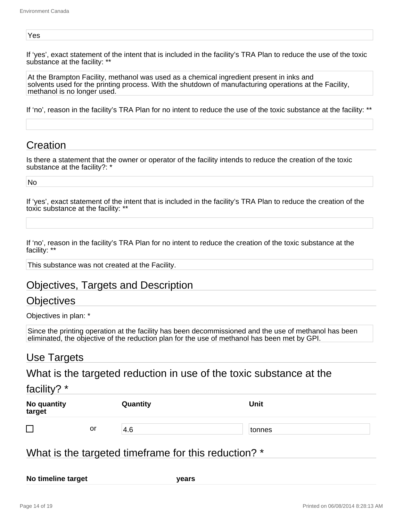#### Yes

If 'yes', exact statement of the intent that is included in the facility's TRA Plan to reduce the use of the toxic substance at the facility: \*\*

At the Brampton Facility, methanol was used as a chemical ingredient present in inks and solvents used for the printing process. With the shutdown of manufacturing operations at the Facility, methanol is no longer used.

If 'no', reason in the facility's TRA Plan for no intent to reduce the use of the toxic substance at the facility: \*\*

### **Creation**

Is there a statement that the owner or operator of the facility intends to reduce the creation of the toxic substance at the facility?: \*

No

If 'yes', exact statement of the intent that is included in the facility's TRA Plan to reduce the creation of the toxic substance at the facility: \*\*

If 'no', reason in the facility's TRA Plan for no intent to reduce the creation of the toxic substance at the facility: \*\*

This substance was not created at the Facility.

### Objectives, Targets and Description

### Objectives

Objectives in plan: \*

Since the printing operation at the facility has been decommissioned and the use of methanol has been eliminated, the objective of the reduction plan for the use of methanol has been met by GPI.

### Use Targets

What is the targeted reduction in use of the toxic substance at the

#### facility? \*

| No quantity<br>target |    | Quantity | <b>Unit</b> |  |
|-----------------------|----|----------|-------------|--|
| ┍                     | or | 4.6      | tonnes      |  |

## What is the targeted timeframe for this reduction? \*

**No timeline target years**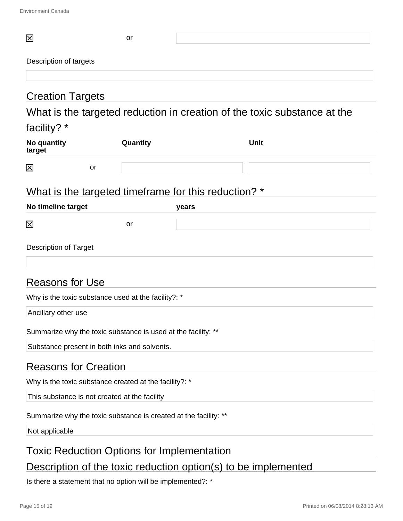| 区                                                                                                                   | or                                                          |                                                                          |  |  |  |  |
|---------------------------------------------------------------------------------------------------------------------|-------------------------------------------------------------|--------------------------------------------------------------------------|--|--|--|--|
| Description of targets                                                                                              |                                                             |                                                                          |  |  |  |  |
|                                                                                                                     |                                                             |                                                                          |  |  |  |  |
| <b>Creation Targets</b>                                                                                             |                                                             |                                                                          |  |  |  |  |
|                                                                                                                     |                                                             | What is the targeted reduction in creation of the toxic substance at the |  |  |  |  |
| facility? *                                                                                                         |                                                             |                                                                          |  |  |  |  |
| No quantity<br>target                                                                                               | Quantity                                                    | <b>Unit</b>                                                              |  |  |  |  |
| 区                                                                                                                   | <b>or</b>                                                   |                                                                          |  |  |  |  |
|                                                                                                                     |                                                             |                                                                          |  |  |  |  |
|                                                                                                                     |                                                             | What is the targeted timeframe for this reduction? *                     |  |  |  |  |
| No timeline target                                                                                                  |                                                             | years                                                                    |  |  |  |  |
| 区                                                                                                                   | or                                                          |                                                                          |  |  |  |  |
| Description of Target                                                                                               |                                                             |                                                                          |  |  |  |  |
|                                                                                                                     |                                                             |                                                                          |  |  |  |  |
|                                                                                                                     |                                                             |                                                                          |  |  |  |  |
| <b>Reasons for Use</b>                                                                                              |                                                             |                                                                          |  |  |  |  |
|                                                                                                                     | Why is the toxic substance used at the facility?: *         |                                                                          |  |  |  |  |
| Ancillary other use                                                                                                 |                                                             |                                                                          |  |  |  |  |
| Summarize why the toxic substance is used at the facility: **                                                       |                                                             |                                                                          |  |  |  |  |
| Substance present in both inks and solvents.                                                                        |                                                             |                                                                          |  |  |  |  |
| <b>Reasons for Creation</b>                                                                                         |                                                             |                                                                          |  |  |  |  |
| Why is the toxic substance created at the facility?: *                                                              |                                                             |                                                                          |  |  |  |  |
| This substance is not created at the facility                                                                       |                                                             |                                                                          |  |  |  |  |
| Summarize why the toxic substance is created at the facility: **                                                    |                                                             |                                                                          |  |  |  |  |
| Not applicable                                                                                                      |                                                             |                                                                          |  |  |  |  |
|                                                                                                                     |                                                             |                                                                          |  |  |  |  |
| <b>Toxic Reduction Options for Implementation</b><br>Description of the toxic reduction option(s) to be implemented |                                                             |                                                                          |  |  |  |  |
|                                                                                                                     |                                                             |                                                                          |  |  |  |  |
|                                                                                                                     | Is there a statement that no option will be implemented?: * |                                                                          |  |  |  |  |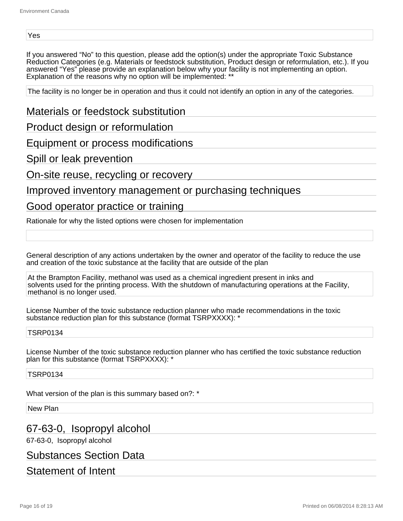#### Yes

If you answered "No" to this question, please add the option(s) under the appropriate Toxic Substance Reduction Categories (e.g. Materials or feedstock substitution, Product design or reformulation, etc.). If you answered "Yes" please provide an explanation below why your facility is not implementing an option. Explanation of the reasons why no option will be implemented: \*\*

The facility is no longer be in operation and thus it could not identify an option in any of the categories.

Materials or feedstock substitution

Product design or reformulation

Equipment or process modifications

Spill or leak prevention

On-site reuse, recycling or recovery

### Improved inventory management or purchasing techniques

### Good operator practice or training

Rationale for why the listed options were chosen for implementation

General description of any actions undertaken by the owner and operator of the facility to reduce the use and creation of the toxic substance at the facility that are outside of the plan

At the Brampton Facility, methanol was used as a chemical ingredient present in inks and solvents used for the printing process. With the shutdown of manufacturing operations at the Facility, methanol is no longer used.

License Number of the toxic substance reduction planner who made recommendations in the toxic substance reduction plan for this substance (format TSRPXXXX): \*

#### TSRP0134

License Number of the toxic substance reduction planner who has certified the toxic substance reduction plan for this substance (format TSRPXXXX): \*

#### TSRP0134

What version of the plan is this summary based on?: \*

New Plan

## 67-63-0, Isopropyl alcohol

67-63-0, Isopropyl alcohol

Substances Section Data

## Statement of Intent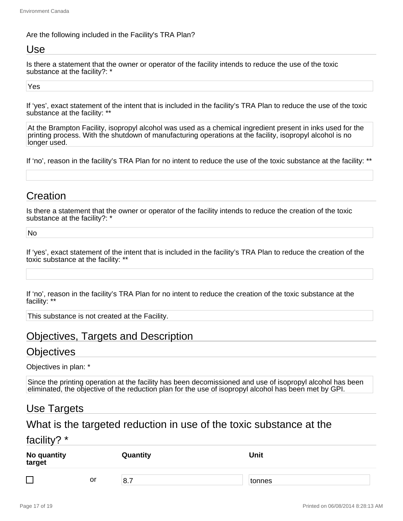#### Are the following included in the Facility's TRA Plan?

### Use

Is there a statement that the owner or operator of the facility intends to reduce the use of the toxic substance at the facility?: \*

#### Yes

If 'yes', exact statement of the intent that is included in the facility's TRA Plan to reduce the use of the toxic substance at the facility: \*\*

At the Brampton Facility, isopropyl alcohol was used as a chemical ingredient present in inks used for the printing process. With the shutdown of manufacturing operations at the facility, isopropyl alcohol is no longer used.

If 'no', reason in the facility's TRA Plan for no intent to reduce the use of the toxic substance at the facility: \*\*

## Creation

Is there a statement that the owner or operator of the facility intends to reduce the creation of the toxic substance at the facility?: \*

No

If 'yes', exact statement of the intent that is included in the facility's TRA Plan to reduce the creation of the toxic substance at the facility: \*\*

If 'no', reason in the facility's TRA Plan for no intent to reduce the creation of the toxic substance at the facility: \*\*

This substance is not created at the Facility.

## Objectives, Targets and Description

### **Objectives**

Objectives in plan: \*

Since the printing operation at the facility has been decomissioned and use of isopropyl alcohol has been eliminated, the objective of the reduction plan for the use of isopropyl alcohol has been met by GPI.

## Use Targets

### What is the targeted reduction in use of the toxic substance at the

#### facility? \*

| No quantity<br>target    |    | Quantity                        | <b>Unit</b> |
|--------------------------|----|---------------------------------|-------------|
| $\overline{\phantom{0}}$ | or | $\overline{\phantom{0}}$<br>8.7 | tonnes      |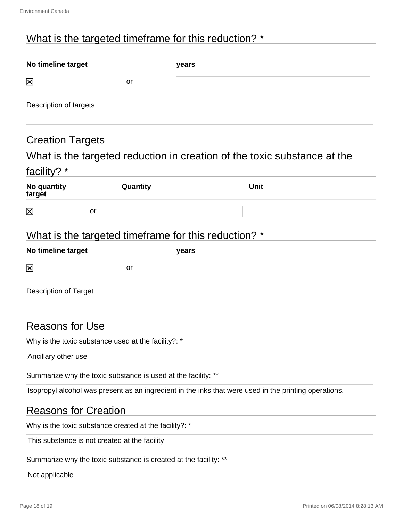## What is the targeted timeframe for this reduction? \*

| No timeline target                                            |          | years                                                                                                 |  |  |  |  |
|---------------------------------------------------------------|----------|-------------------------------------------------------------------------------------------------------|--|--|--|--|
| 区                                                             | or       |                                                                                                       |  |  |  |  |
| Description of targets                                        |          |                                                                                                       |  |  |  |  |
|                                                               |          |                                                                                                       |  |  |  |  |
| <b>Creation Targets</b>                                       |          |                                                                                                       |  |  |  |  |
| facility? *                                                   |          | What is the targeted reduction in creation of the toxic substance at the                              |  |  |  |  |
| No quantity<br>target                                         | Quantity | <b>Unit</b>                                                                                           |  |  |  |  |
| $\boxtimes$<br>or                                             |          |                                                                                                       |  |  |  |  |
|                                                               |          | What is the targeted timeframe for this reduction? *                                                  |  |  |  |  |
| No timeline target                                            |          | years                                                                                                 |  |  |  |  |
| 区                                                             | or       |                                                                                                       |  |  |  |  |
| <b>Description of Target</b>                                  |          |                                                                                                       |  |  |  |  |
| <b>Reasons for Use</b>                                        |          |                                                                                                       |  |  |  |  |
| Why is the toxic substance used at the facility?: *           |          |                                                                                                       |  |  |  |  |
| Ancillary other use                                           |          |                                                                                                       |  |  |  |  |
| Summarize why the toxic substance is used at the facility: ** |          |                                                                                                       |  |  |  |  |
|                                                               |          | Isopropyl alcohol was present as an ingredient in the inks that were used in the printing operations. |  |  |  |  |
| <b>Reasons for Creation</b>                                   |          |                                                                                                       |  |  |  |  |
| Why is the toxic substance created at the facility?: *        |          |                                                                                                       |  |  |  |  |
| This substance is not created at the facility                 |          |                                                                                                       |  |  |  |  |

Summarize why the toxic substance is created at the facility: \*\*

#### Not applicable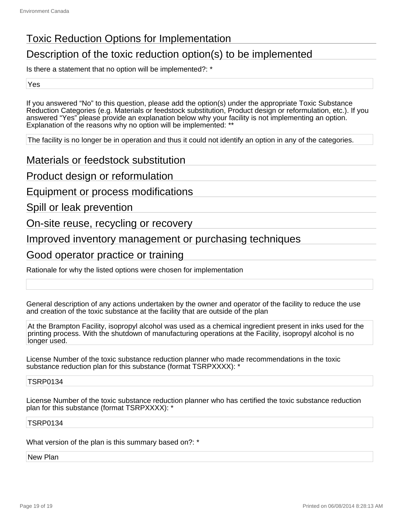## Toxic Reduction Options for Implementation

## Description of the toxic reduction option(s) to be implemented

Is there a statement that no option will be implemented?: \*

Yes

If you answered "No" to this question, please add the option(s) under the appropriate Toxic Substance Reduction Categories (e.g. Materials or feedstock substitution, Product design or reformulation, etc.). If you answered "Yes" please provide an explanation below why your facility is not implementing an option. Explanation of the reasons why no option will be implemented: \*\*

The facility is no longer be in operation and thus it could not identify an option in any of the categories.

Materials or feedstock substitution

Product design or reformulation

Equipment or process modifications

Spill or leak prevention

On-site reuse, recycling or recovery

Improved inventory management or purchasing techniques

### Good operator practice or training

Rationale for why the listed options were chosen for implementation

General description of any actions undertaken by the owner and operator of the facility to reduce the use and creation of the toxic substance at the facility that are outside of the plan

At the Brampton Facility, isopropyl alcohol was used as a chemical ingredient present in inks used for the printing process. With the shutdown of manufacturing operations at the Facility, isopropyl alcohol is no longer used.

License Number of the toxic substance reduction planner who made recommendations in the toxic substance reduction plan for this substance (format TSRPXXXX): \*

TSRP0134

License Number of the toxic substance reduction planner who has certified the toxic substance reduction plan for this substance (format TSRPXXXX): \*

TSRP0134

What version of the plan is this summary based on?: \*

New Plan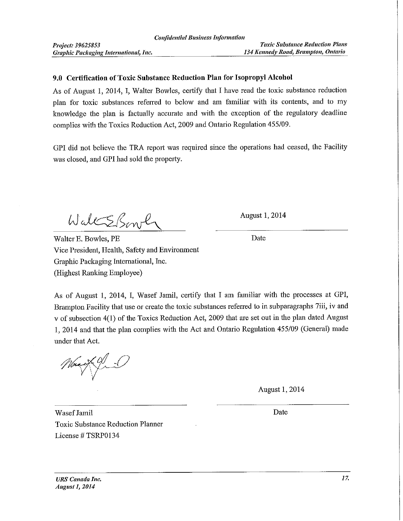#### 9.0 Certification of Toxic Substance Reduction Plan for Isopropyl Alcohol

As of August 1, 2014, I, Walter Bowles, certify that I have read the toxic substance reduction plan for toxic substances referred to below and am familiar with its contents, and to my knowledge the plan is factually accurate and with the exception of the regulatory deadline complies with the Toxics Reduction Act, 2009 and Ontario Regulation 455/09.

GPI did not believe the TRA report was required since the operations had ceased, the Facility was closed, and GPI had sold the property.

WaltsBirth

Walter E. Bowles, PE Vice President, Health, Safety and Environment Graphic Packaging International, Inc. (Highest Ranking Employee)

**August 1, 2014** 

Date

As of August 1, 2014, I, Wasef Jamil, certify that I am familiar with the processes at GPI, Brampton Facility that use or create the toxic substances referred to in subparagraphs 7iii, iv and v of subsection 4(1) of the Toxics Reduction Act, 2009 that are set out in the plan dated August 1, 2014 and that the plan complies with the Act and Ontario Regulation 455/09 (General) made under that Act.

August 1, 2014

Wasef Jamil **Toxic Substance Reduction Planner** License #TSRP0134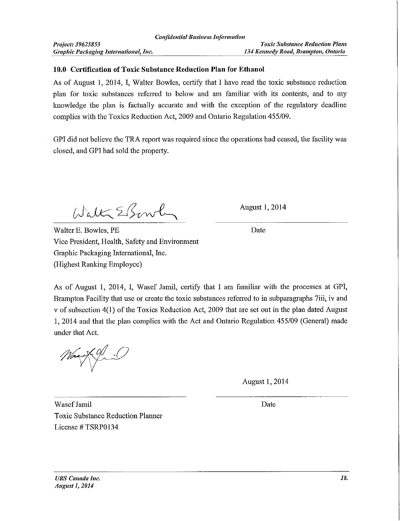#### 10.0 Certification of Toxic Substance Reduction Plan for Ethanol

As of August 1, 2014, I, Walter Bowles, certify that I have read the toxic substance reduction plan for toxic substances referred to below and am familiar with its contents, and to my knowledge the plan is factually accurate and with the exception of the regulatory deadline complies with the Toxics Reduction Act, 2009 and Ontario Regulation 455/09.

GPI did not believe the TRA report was required since the operations had ceased, the facility was closed, and GPI had sold the property.

Walk EBowl

**August 1, 2014** 

Date

Walter E. Bowles, PE Vice President, Health, Safety and Environment Graphic Packaging International, Inc. (Highest Ranking Employee)

As of August 1, 2014, I, Wasef Jamil, certify that I am familiar with the processes at GPI, Brampton Facility that use or create the toxic substances referred to in subparagraphs 7iii, iv and v of subsection 4(1) of the Toxics Reduction Act, 2009 that are set out in the plan dated August 1, 2014 and that the plan complies with the Act and Ontario Regulation 455/09 (General) made under that Act.

August 1, 2014

Wasef Jamil **Toxic Substance Reduction Planner** License # TSRP0134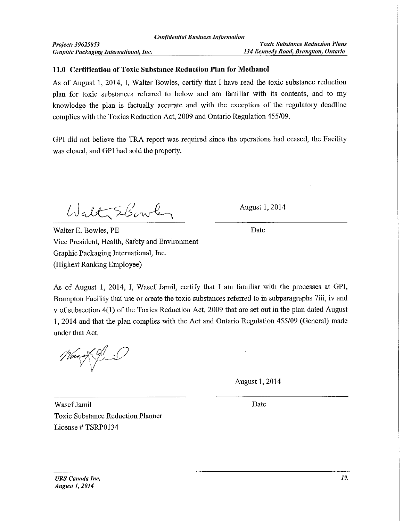#### 11.0 Certification of Toxic Substance Reduction Plan for Methanol

As of August 1, 2014, I, Walter Bowles, certify that I have read the toxic substance reduction plan for toxic substances referred to below and am familiar with its contents, and to my knowledge the plan is factually accurate and with the exception of the regulatory deadline complies with the Toxics Reduction Act, 2009 and Ontario Regulation 455/09.

GPI did not believe the TRA report was required since the operations had ceased, the Facility was closed, and GPI had sold the property.

Walt SBowley

August 1, 2014

Date

Walter E. Bowles, PE Vice President, Health, Safety and Environment Graphic Packaging International, Inc. (Highest Ranking Employee)

As of August 1, 2014, I, Wasef Jamil, certify that I am familiar with the processes at GPI, Brampton Facility that use or create the toxic substances referred to in subparagraphs 7iii, iv and v of subsection 4(1) of the Toxics Reduction Act, 2009 that are set out in the plan dated August 1, 2014 and that the plan complies with the Act and Ontario Regulation 455/09 (General) made under that Act.

**August 1, 2014** 

Wasef Jamil **Toxic Substance Reduction Planner** License #TSRP0134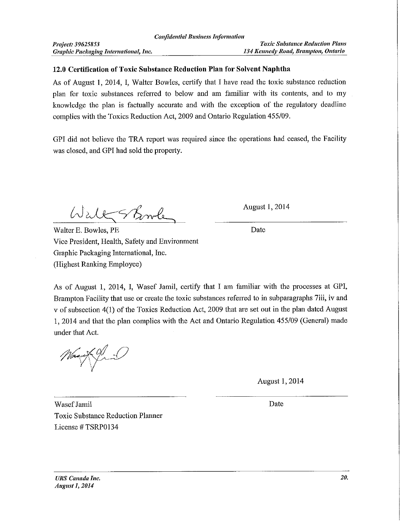#### 12.0 Certification of Toxic Substance Reduction Plan for Solvent Naphtha

As of August 1, 2014, I, Walter Bowles, certify that I have read the toxic substance reduction plan for toxic substances referred to below and am familiar with its contents, and to my knowledge the plan is factually accurate and with the exception of the regulatory deadline complies with the Toxics Reduction Act, 2009 and Ontario Regulation 455/09.

GPI did not believe the TRA report was required since the operations had ceased, the Facility was closed, and GPI had sold the property.

Walk Showle

Walter E. Bowles, PE Vice President, Health, Safety and Environment Graphic Packaging International, Inc. (Highest Ranking Employee)

August 1, 2014

Date

As of August 1, 2014, I, Wasef Jamil, certify that I am familiar with the processes at GPI, Brampton Facility that use or create the toxic substances referred to in subparagraphs 7iii, iv and v of subsection 4(1) of the Toxics Reduction Act, 2009 that are set out in the plan dated August 1, 2014 and that the plan complies with the Act and Ontario Regulation 455/09 (General) made under that Act.

August 1, 2014

Wasef Jamil **Toxic Substance Reduction Planner** License # TSRP0134